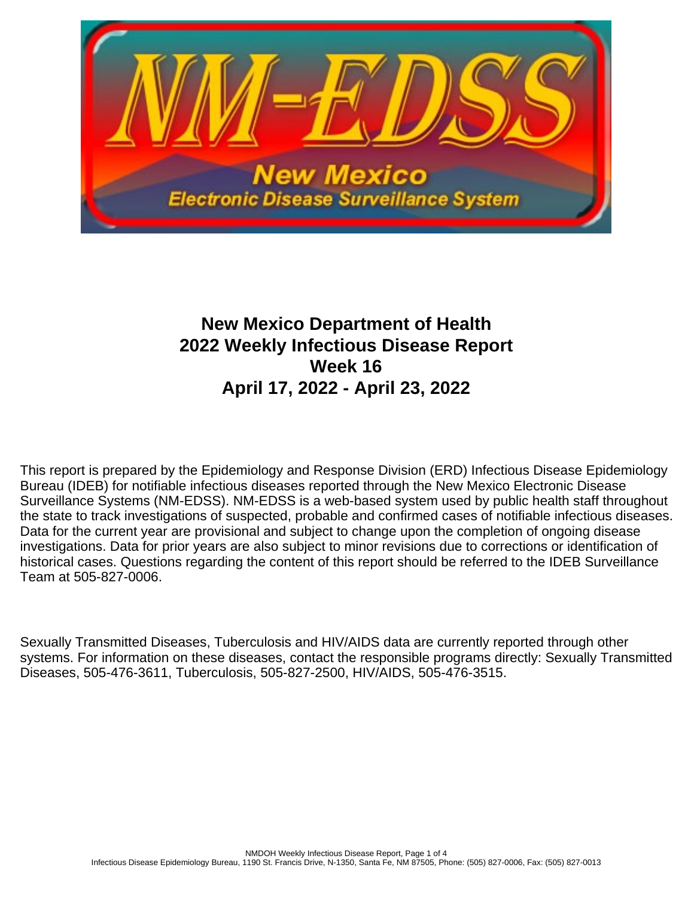

# **New Mexico Department of Health 2022 Weekly Infectious Disease Report Week 16 April 17, 2022 - April 23, 2022**

This report is prepared by the Epidemiology and Response Division (ERD) Infectious Disease Epidemiology Bureau (IDEB) for notifiable infectious diseases reported through the New Mexico Electronic Disease Surveillance Systems (NM-EDSS). NM-EDSS is a web-based system used by public health staff throughout the state to track investigations of suspected, probable and confirmed cases of notifiable infectious diseases. Data for the current year are provisional and subject to change upon the completion of ongoing disease investigations. Data for prior years are also subject to minor revisions due to corrections or identification of historical cases. Questions regarding the content of this report should be referred to the IDEB Surveillance Team at 505-827-0006.

Sexually Transmitted Diseases, Tuberculosis and HIV/AIDS data are currently reported through other systems. For information on these diseases, contact the responsible programs directly: Sexually Transmitted Diseases, 505-476-3611, Tuberculosis, 505-827-2500, HIV/AIDS, 505-476-3515.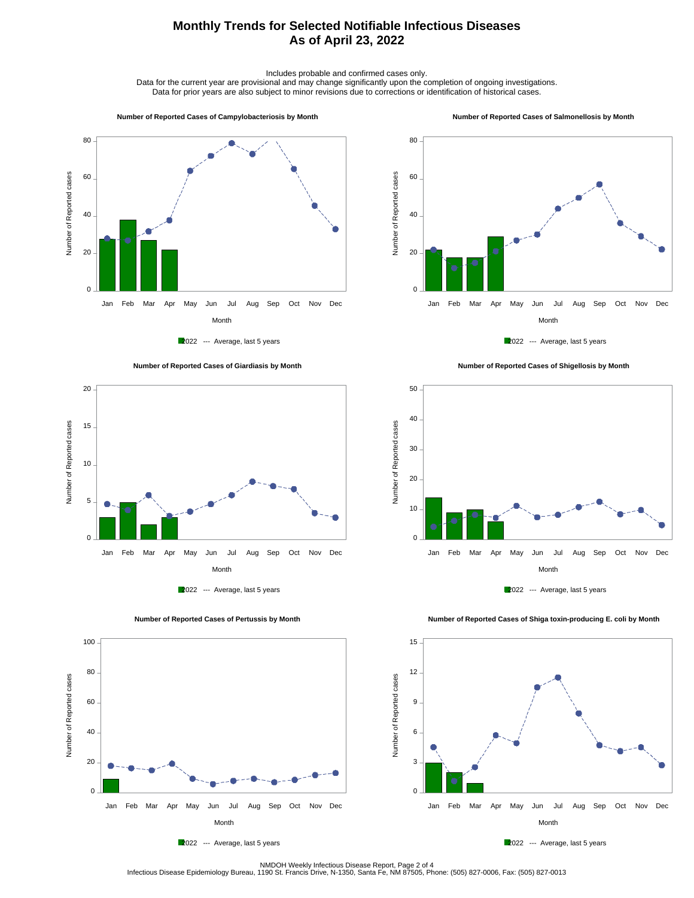## **Monthly Trends for Selected Notifiable Infectious Diseases As of April 23, 2022**

Includes probable and confirmed cases only.

Data for the current year are provisional and may change significantly upon the completion of ongoing investigations. Data for prior years are also subject to minor revisions due to corrections or identification of historical cases.

#### **Number of Reported Cases of Campylobacteriosis by Month**

#### **Number of Reported Cases of Salmonellosis by Month**









 **Number of Reported Cases of Shigellosis by Month**





 **Number of Reported Cases of Shiga toxin-producing E. coli by Month**





2022 --- Average, last 5 years

NMDOH Weekly Infectious Disease Report, Page 2 of 4<br>Infectious Disease Epidemiology Bureau, 1190 St. Francis Drive, N-1350, Santa Fe, NM 87505, Phone: (505) 827-0006, Fax: (505) 827-0013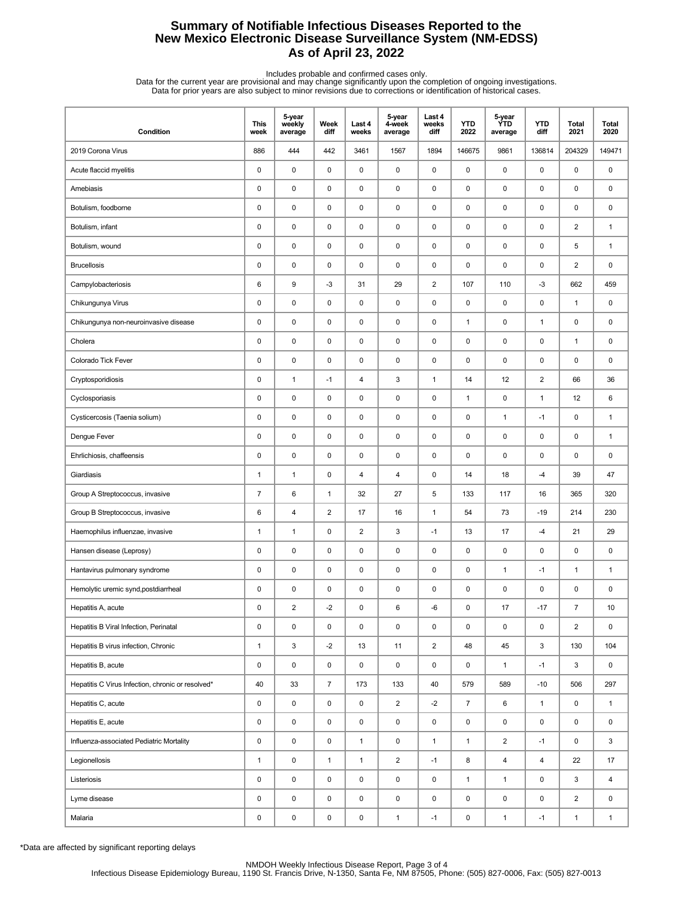## **Summary of Notifiable Infectious Diseases Reported to the New Mexico Electronic Disease Surveillance System (NM-EDSS) As of April 23, 2022**

Includes probable and confirmed cases only.<br>Data for the current year are provisional and may change significantly upon the completion of ongoing investigations.<br>Data for prior years are also subject to minor revisions due

| Condition                                         | <b>This</b><br>week | 5-year<br>weekly<br>average | Week<br>diff   | Last 4<br>weeks         | 5-year<br>4-week<br>average | Last 4<br>weeks<br>diff | <b>YTD</b><br>2022 | 5-year<br><b>YTD</b><br>average | <b>YTD</b><br>diff      | Total<br>2021           | <b>Total</b><br>2020 |
|---------------------------------------------------|---------------------|-----------------------------|----------------|-------------------------|-----------------------------|-------------------------|--------------------|---------------------------------|-------------------------|-------------------------|----------------------|
| 2019 Corona Virus                                 | 886                 | 444                         | 442            | 3461                    | 1567                        | 1894                    | 146675             | 9861                            | 136814                  | 204329                  | 149471               |
| Acute flaccid myelitis                            | $\pmb{0}$           | $\mathsf 0$                 | 0              | 0                       | $\pmb{0}$                   | $\pmb{0}$               | $\pmb{0}$          | 0                               | $\pmb{0}$               | 0                       | 0                    |
| Amebiasis                                         | 0                   | 0                           | 0              | 0                       | 0                           | $\mathbf 0$             | 0                  | 0                               | $\mathbf 0$             | $\pmb{0}$               | 0                    |
| Botulism, foodborne                               | 0                   | 0                           | 0              | 0                       | 0                           | $\mathbf 0$             | $\pmb{0}$          | 0                               | $\pmb{0}$               | 0                       | 0                    |
| Botulism, infant                                  | 0                   | 0                           | 0              | 0                       | 0                           | $\mathbf 0$             | $\pmb{0}$          | 0                               | $\pmb{0}$               | $\overline{2}$          | $\mathbf{1}$         |
| Botulism, wound                                   | 0                   | $\mathsf 0$                 | 0              | 0                       | $\pmb{0}$                   | $\pmb{0}$               | $\pmb{0}$          | 0                               | $\pmb{0}$               | 5                       | $\mathbf{1}$         |
| <b>Brucellosis</b>                                | 0                   | $\mathsf 0$                 | 0              | 0                       | $\pmb{0}$                   | 0                       | 0                  | 0                               | $\pmb{0}$               | $\overline{2}$          | 0                    |
| Campylobacteriosis                                | 6                   | 9                           | $-3$           | 31                      | 29                          | $\overline{2}$          | 107                | 110                             | $-3$                    | 662                     | 459                  |
| Chikungunya Virus                                 | 0                   | 0                           | 0              | 0                       | 0                           | 0                       | $\pmb{0}$          | 0                               | $\mathbf 0$             | $\mathbf{1}$            | 0                    |
| Chikungunya non-neuroinvasive disease             | 0                   | 0                           | 0              | 0                       | 0                           | 0                       | $\mathbf{1}$       | 0                               | $\mathbf{1}$            | 0                       | 0                    |
| Cholera                                           | 0                   | $\mathsf 0$                 | 0              | 0                       | 0                           | $\mathbf 0$             | $\mathbf 0$        | 0                               | $\pmb{0}$               | $\mathbf{1}$            | 0                    |
| Colorado Tick Fever                               | 0                   | $\mathsf 0$                 | 0              | 0                       | $\pmb{0}$                   | $\pmb{0}$               | $\pmb{0}$          | 0                               | $\pmb{0}$               | 0                       | 0                    |
| Cryptosporidiosis                                 | 0                   | $\mathbf{1}$                | $-1$           | 4                       | 3                           | $\mathbf{1}$            | 14                 | 12                              | $\overline{\mathbf{c}}$ | 66                      | 36                   |
| Cyclosporiasis                                    | 0                   | 0                           | 0              | 0                       | 0                           | $\mathbf 0$             | $\mathbf{1}$       | 0                               | $\mathbf{1}$            | 12                      | 6                    |
| Cysticercosis (Taenia solium)                     | 0                   | 0                           | 0              | 0                       | 0                           | 0                       | $\pmb{0}$          | $\mathbf{1}$                    | $-1$                    | 0                       | $\mathbf{1}$         |
| Dengue Fever                                      | 0                   | $\pmb{0}$                   | 0              | 0                       | $\pmb{0}$                   | $\mathbf 0$             | $\pmb{0}$          | 0                               | $\pmb{0}$               | 0                       | $\mathbf{1}$         |
| Ehrlichiosis, chaffeensis                         | 0                   | $\pmb{0}$                   | 0              | 0                       | $\pmb{0}$                   | $\mathbf 0$             | 0                  | 0                               | $\pmb{0}$               | 0                       | 0                    |
| Giardiasis                                        | 1                   | $\mathbf{1}$                | 0              | 4                       | $\overline{\mathbf{4}}$     | $\mathbf 0$             | 14                 | 18                              | $-4$                    | 39                      | 47                   |
| Group A Streptococcus, invasive                   | $\overline{7}$      | 6                           | $\mathbf{1}$   | 32                      | 27                          | 5                       | 133                | 117                             | 16                      | 365                     | 320                  |
| Group B Streptococcus, invasive                   | 6                   | 4                           | $\overline{2}$ | 17                      | 16                          | $\mathbf{1}$            | 54                 | 73                              | $-19$                   | 214                     | 230                  |
| Haemophilus influenzae, invasive                  | 1                   | $\mathbf{1}$                | 0              | $\overline{\mathbf{c}}$ | 3                           | $-1$                    | 13                 | 17                              | $-4$                    | 21                      | 29                   |
| Hansen disease (Leprosy)                          | 0                   | $\pmb{0}$                   | 0              | 0                       | $\pmb{0}$                   | 0                       | $\pmb{0}$          | 0                               | $\pmb{0}$               | 0                       | 0                    |
| Hantavirus pulmonary syndrome                     | 0                   | 0                           | 0              | 0                       | 0                           | $\mathbf 0$             | 0                  | $\mathbf{1}$                    | $-1$                    | 1                       | $\mathbf{1}$         |
| Hemolytic uremic synd, postdiarrheal              | 0                   | 0                           | 0              | 0                       | 0                           | $\mathbf 0$             | $\pmb{0}$          | 0                               | 0                       | 0                       | 0                    |
| Hepatitis A, acute                                | 0                   | $\overline{2}$              | $-2$           | 0                       | 6                           | -6                      | $\pmb{0}$          | 17                              | $-17$                   | $\overline{7}$          | 10                   |
| Hepatitis B Viral Infection, Perinatal            | 0                   | $\pmb{0}$                   | 0              | 0                       | $\pmb{0}$                   | $\pmb{0}$               | $\pmb{0}$          | 0                               | 0                       | $\overline{2}$          | 0                    |
| Hepatitis B virus infection, Chronic              | 1                   | 3                           | $-2$           | 13                      | 11                          | $\overline{2}$          | 48                 | 45                              | 3                       | 130                     | 104                  |
| Hepatitis B, acute                                | 0                   | 0                           | 0              | 0                       | $\pmb{0}$                   | 0                       | $\pmb{0}$          | $\mathbf{1}$                    | $-1$                    | 3                       | 0                    |
| Hepatitis C Virus Infection, chronic or resolved* | 40                  | 33                          | $\overline{7}$ | 173                     | 133                         | 40                      | 579                | 589                             | $-10$                   | 506                     | 297                  |
| Hepatitis C, acute                                | 0                   | $\pmb{0}$                   | 0              | 0                       | $\overline{2}$              | $-2$                    | $\overline{7}$     | 6                               | $\mathbf{1}$            | 0                       | $\mathbf{1}$         |
| Hepatitis E, acute                                | 0                   | $\pmb{0}$                   | 0              | 0                       | $\pmb{0}$                   | 0                       | $\pmb{0}$          | 0                               | $\mathsf 0$             | 0                       | $\mathsf 0$          |
| Influenza-associated Pediatric Mortality          | 0                   | $\pmb{0}$                   | 0              | $\mathbf{1}$            | $\pmb{0}$                   | $\mathbf{1}$            | $\mathbf{1}$       | $\overline{\mathbf{c}}$         | $-1$                    | 0                       | 3                    |
| Legionellosis                                     | $\mathbf{1}$        | 0                           | $\mathbf{1}$   | $\mathbf{1}$            | $\overline{2}$              | $-1$                    | 8                  | 4                               | $\overline{4}$          | 22                      | 17                   |
| Listeriosis                                       | 0                   | 0                           | 0              | 0                       | 0                           | 0                       | $\mathbf{1}$       | $\mathbf{1}$                    | $\mathbf 0$             | 3                       | 4                    |
| Lyme disease                                      | 0                   | $\mathsf 0$                 | 0              | 0                       | $\pmb{0}$                   | $\mathsf 0$             | $\pmb{0}$          | 0                               | 0                       | $\overline{\mathbf{c}}$ | 0                    |
| Malaria                                           | 0                   | $\pmb{0}$                   | 0              | 0                       | $\mathbf{1}$                | $-1$                    | 0                  | $\mathbf{1}$                    | $-1$                    | $\mathbf{1}$            | $\mathbf{1}$         |

\*Data are affected by significant reporting delays